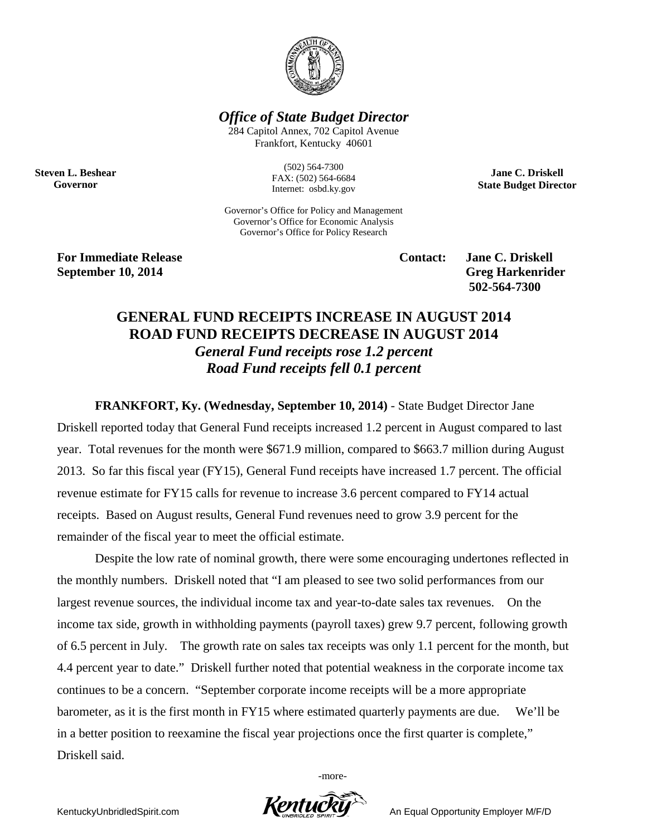

*Office of State Budget Director*

284 Capitol Annex, 702 Capitol Avenue Frankfort, Kentucky 40601

**Steven L. Beshear Governor**

(502) 564-7300 FAX: (502) 564-6684 Internet: osbd.ky.gov

Governor's Office for Policy and Management Governor's Office for Economic Analysis Governor's Office for Policy Research

**For Immediate Release Contact: Jane C. Driskell September 10, 2014** Greg Harkenrider

**502-564-7300** 

**Jane C. Driskell State Budget Director**

## **GENERAL FUND RECEIPTS INCREASE IN AUGUST 2014 ROAD FUND RECEIPTS DECREASE IN AUGUST 2014** *General Fund receipts rose 1.2 percent Road Fund receipts fell 0.1 percent*

**FRANKFORT, Ky. (Wednesday, September 10, 2014)** - State Budget Director Jane Driskell reported today that General Fund receipts increased 1.2 percent in August compared to last year. Total revenues for the month were \$671.9 million, compared to \$663.7 million during August 2013. So far this fiscal year (FY15), General Fund receipts have increased 1.7 percent. The official revenue estimate for FY15 calls for revenue to increase 3.6 percent compared to FY14 actual receipts. Based on August results, General Fund revenues need to grow 3.9 percent for the remainder of the fiscal year to meet the official estimate.

Despite the low rate of nominal growth, there were some encouraging undertones reflected in the monthly numbers. Driskell noted that "I am pleased to see two solid performances from our largest revenue sources, the individual income tax and year-to-date sales tax revenues. On the income tax side, growth in withholding payments (payroll taxes) grew 9.7 percent, following growth of 6.5 percent in July. The growth rate on sales tax receipts was only 1.1 percent for the month, but 4.4 percent year to date." Driskell further noted that potential weakness in the corporate income tax continues to be a concern. "September corporate income receipts will be a more appropriate barometer, as it is the first month in FY15 where estimated quarterly payments are due. We'll be in a better position to reexamine the fiscal year projections once the first quarter is complete," Driskell said.

-more-

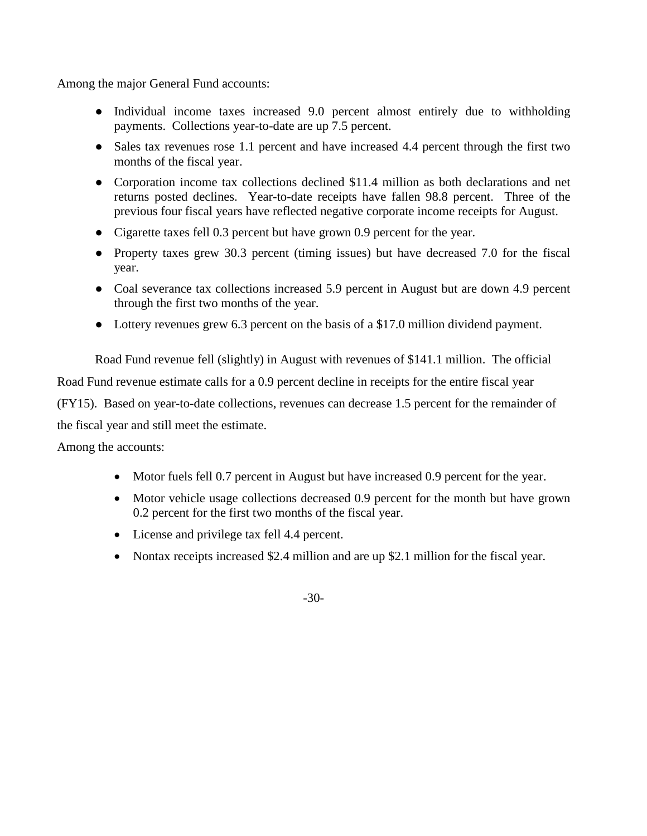Among the major General Fund accounts:

- Individual income taxes increased 9.0 percent almost entirely due to withholding payments. Collections year-to-date are up 7.5 percent.
- Sales tax revenues rose 1.1 percent and have increased 4.4 percent through the first two months of the fiscal year.
- Corporation income tax collections declined \$11.4 million as both declarations and net returns posted declines. Year-to-date receipts have fallen 98.8 percent. Three of the previous four fiscal years have reflected negative corporate income receipts for August.
- Cigarette taxes fell 0.3 percent but have grown 0.9 percent for the year.
- Property taxes grew 30.3 percent (timing issues) but have decreased 7.0 for the fiscal year.
- Coal severance tax collections increased 5.9 percent in August but are down 4.9 percent through the first two months of the year.
- Lottery revenues grew 6.3 percent on the basis of a \$17.0 million dividend payment.

Road Fund revenue fell (slightly) in August with revenues of \$141.1 million. The official Road Fund revenue estimate calls for a 0.9 percent decline in receipts for the entire fiscal year (FY15). Based on year-to-date collections, revenues can decrease 1.5 percent for the remainder of the fiscal year and still meet the estimate.

Among the accounts:

- Motor fuels fell 0.7 percent in August but have increased 0.9 percent for the year.
- Motor vehicle usage collections decreased 0.9 percent for the month but have grown 0.2 percent for the first two months of the fiscal year.
- License and privilege tax fell 4.4 percent.
- Nontax receipts increased \$2.4 million and are up \$2.1 million for the fiscal year.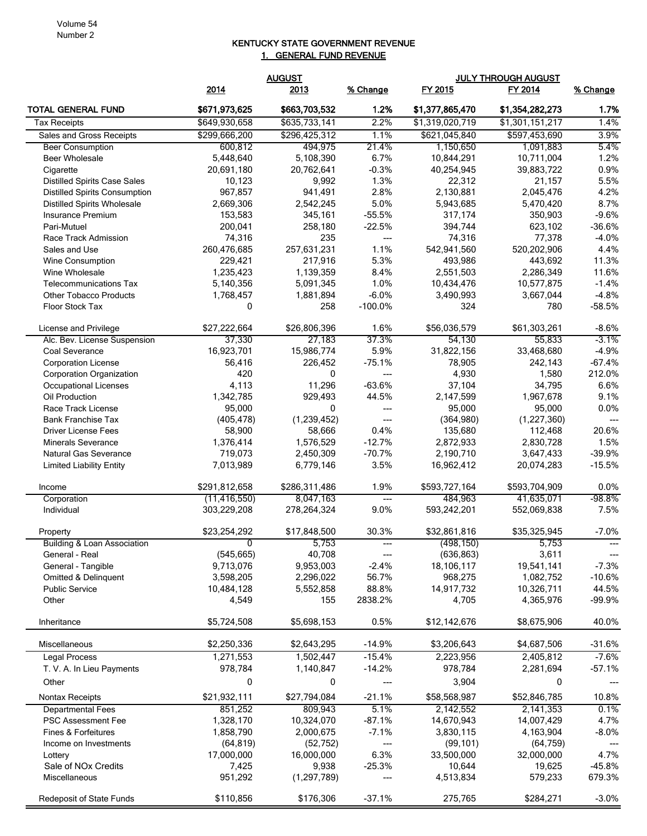## KENTUCKY STATE GOVERNMENT REVENUE 1. GENERAL FUND REVENUE

|                                        | <b>AUGUST</b>  |               |                                   | <b>JULY THROUGH AUGUST</b> |                 |                                          |
|----------------------------------------|----------------|---------------|-----------------------------------|----------------------------|-----------------|------------------------------------------|
|                                        | 2014           | 2013          | % Change                          | FY 2015                    | FY 2014         | % Change                                 |
| <b>TOTAL GENERAL FUND</b>              | \$671,973,625  | \$663,703,532 | 1.2%                              | \$1,377,865,470            | \$1,354,282,273 | 1.7%                                     |
| <b>Tax Receipts</b>                    | \$649,930,658  | \$635,733,141 | 2.2%                              | \$1,319,020,719            | \$1,301,151,217 | 1.4%                                     |
| Sales and Gross Receipts               | \$299,666,200  | \$296,425,312 | 1.1%                              | \$621,045,840              | \$597,453,690   | 3.9%                                     |
| <b>Beer Consumption</b>                | 600,812        | 494,975       | 21.4%                             | 1,150,650                  | 1,091,883       | 5.4%                                     |
| <b>Beer Wholesale</b>                  | 5,448,640      | 5,108,390     | 6.7%                              | 10,844,291                 | 10,711,004      | 1.2%                                     |
| Cigarette                              | 20,691,180     | 20,762,641    | $-0.3%$                           | 40,254,945                 | 39,883,722      | 0.9%                                     |
| <b>Distilled Spirits Case Sales</b>    | 10,123         | 9,992         | 1.3%                              | 22,312                     | 21,157          | 5.5%                                     |
| <b>Distilled Spirits Consumption</b>   | 967,857        | 941,491       | 2.8%                              | 2,130,881                  | 2,045,476       | 4.2%                                     |
| <b>Distilled Spirits Wholesale</b>     | 2,669,306      | 2,542,245     | 5.0%                              | 5,943,685                  | 5,470,420       | 8.7%                                     |
| Insurance Premium                      | 153,583        | 345,161       | $-55.5%$                          | 317,174                    | 350,903         | $-9.6%$                                  |
| Pari-Mutuel                            | 200,041        | 258,180       | $-22.5%$                          | 394,744                    | 623,102         | $-36.6%$                                 |
| Race Track Admission                   | 74,316         | 235           | ---                               | 74,316                     | 77,378          | $-4.0%$                                  |
| Sales and Use                          | 260,476,685    | 257,631,231   | 1.1%                              | 542,941,560                | 520,202,906     | 4.4%                                     |
| <b>Wine Consumption</b>                | 229,421        | 217,916       | 5.3%                              | 493,986                    | 443,692         | 11.3%                                    |
| Wine Wholesale                         | 1,235,423      | 1,139,359     | 8.4%                              | 2,551,503                  | 2,286,349       | 11.6%                                    |
| <b>Telecommunications Tax</b>          | 5,140,356      | 5,091,345     | 1.0%                              | 10,434,476                 | 10,577,875      | $-1.4%$                                  |
| <b>Other Tobacco Products</b>          | 1,768,457      | 1,881,894     | $-6.0%$                           | 3,490,993                  | 3,667,044       | $-4.8%$                                  |
| Floor Stock Tax                        | 0              | 258           | $-100.0\%$                        | 324                        | 780             | $-58.5%$                                 |
| License and Privilege                  | \$27,222,664   | \$26,806,396  | 1.6%                              | \$56,036,579               | \$61,303,261    | $-8.6%$                                  |
| Alc. Bev. License Suspension           | 37,330         | 27,183        | 37.3%                             | 54,130                     | 55,833          | -3.1%                                    |
| Coal Severance                         | 16,923,701     | 15,986,774    | 5.9%                              | 31,822,156                 | 33,468,680      | $-4.9%$                                  |
| <b>Corporation License</b>             | 56,416         | 226,452       | $-75.1%$                          | 78,905                     | 242,143         | $-67.4%$                                 |
| Corporation Organization               | 420            | 0             | ---                               | 4,930                      | 1,580           | 212.0%                                   |
| Occupational Licenses                  | 4,113          | 11,296        | $-63.6%$                          | 37,104                     | 34,795          | 6.6%                                     |
| Oil Production                         | 1,342,785      | 929,493       | 44.5%                             | 2,147,599                  | 1,967,678       | 9.1%                                     |
| Race Track License                     | 95,000         | $\mathbf{0}$  | ---                               | 95,000                     | 95,000          | 0.0%                                     |
| <b>Bank Franchise Tax</b>              | (405, 478)     | (1, 239, 452) | ---                               | (364,980)                  | (1,227,360)     | ---                                      |
| <b>Driver License Fees</b>             | 58,900         | 58,666        | 0.4%                              | 135,680                    | 112,468         | 20.6%                                    |
| <b>Minerals Severance</b>              | 1,376,414      | 1,576,529     | $-12.7%$                          | 2,872,933                  | 2,830,728       | 1.5%                                     |
| <b>Natural Gas Severance</b>           | 719,073        | 2,450,309     | $-70.7%$                          | 2,190,710                  | 3,647,433       | $-39.9%$                                 |
| <b>Limited Liability Entity</b>        | 7,013,989      | 6,779,146     | 3.5%                              | 16,962,412                 | 20,074,283      | $-15.5%$                                 |
| Income                                 | \$291,812,658  | \$286,311,486 | 1.9%                              | \$593,727,164              | \$593,704,909   | 0.0%                                     |
| Corporation                            | (11, 416, 550) | 8,047,163     | $---$                             | 484,963                    | 41,635,071      | $-98.8\%$                                |
| Individual                             | 303,229,208    | 278,264,324   | 9.0%                              | 593,242,201                | 552,069,838     | 7.5%                                     |
| Property                               | \$23,254,292   | \$17,848,500  | 30.3%                             | \$32,861,816               | \$35,325,945    | $-7.0%$                                  |
| <b>Building &amp; Loan Association</b> | 0              | 5,753         |                                   | (498, 150)                 | 5,753           |                                          |
| General - Real                         | (545, 665)     | 40,708        | $\hspace{0.05cm} \dashrightarrow$ | (636, 863)                 | 3,611           | $\hspace{0.05cm} \ldots \hspace{0.05cm}$ |
| General - Tangible                     | 9,713,076      | 9,953,003     | $-2.4%$                           | 18,106,117                 | 19,541,141      | $-7.3%$                                  |
| <b>Omitted &amp; Delinguent</b>        | 3,598,205      | 2,296,022     | 56.7%                             | 968,275                    | 1,082,752       | $-10.6%$                                 |
| <b>Public Service</b>                  | 10,484,128     | 5,552,858     | 88.8%                             | 14,917,732                 | 10,326,711      | 44.5%                                    |
| Other                                  | 4,549          | 155           | 2838.2%                           | 4,705                      | 4,365,976       | $-99.9%$                                 |
| Inheritance                            | \$5,724,508    | \$5,698,153   | 0.5%                              | \$12,142,676               | \$8,675,906     | 40.0%                                    |
| Miscellaneous                          | \$2,250,336    | \$2,643,295   | $-14.9%$                          | \$3,206,643                | \$4,687,506     | $-31.6%$                                 |
| Legal Process                          | 1,271,553      | 1,502,447     | $-15.4%$                          | 2,223,956                  | 2,405,812       | $-7.6%$                                  |
| T. V. A. In Lieu Payments              | 978,784        | 1,140,847     | $-14.2%$                          | 978,784                    | 2,281,694       | $-57.1%$                                 |
| Other                                  | 0              | 0             | $\hspace{0.05cm} \ldots$          | 3,904                      | $\mathbf{0}$    | $\hspace{0.05cm} \ldots \hspace{0.05cm}$ |
| <b>Nontax Receipts</b>                 | \$21,932,111   | \$27,794,084  | $-21.1%$                          | \$58,568,987               | \$52,846,785    | 10.8%                                    |
| <b>Departmental Fees</b>               | 851,252        | 809,943       | 5.1%                              | 2,142,552                  | 2,141,353       | 0.1%                                     |
| PSC Assessment Fee                     | 1,328,170      | 10,324,070    | $-87.1%$                          | 14,670,943                 | 14,007,429      | 4.7%                                     |
| Fines & Forfeitures                    | 1,858,790      | 2,000,675     | $-7.1%$                           | 3,830,115                  | 4,163,904       | $-8.0\%$                                 |
| Income on Investments                  | (64, 819)      | (52, 752)     | ---                               | (99, 101)                  | (64, 759)       |                                          |
| Lottery                                | 17,000,000     | 16,000,000    | 6.3%                              | 33,500,000                 | 32,000,000      | 4.7%                                     |
| Sale of NOx Credits                    | 7,425          | 9,938         | $-25.3%$                          | 10,644                     | 19,625          | $-45.8%$                                 |
| Miscellaneous                          | 951,292        | (1, 297, 789) | $\hspace{0.05cm} \ldots$          | 4,513,834                  | 579,233         | 679.3%                                   |
|                                        |                |               |                                   |                            |                 |                                          |
| <b>Redeposit of State Funds</b>        | \$110,856      | \$176,306     | $-37.1%$                          | 275,765                    | \$284,271       | $-3.0%$                                  |